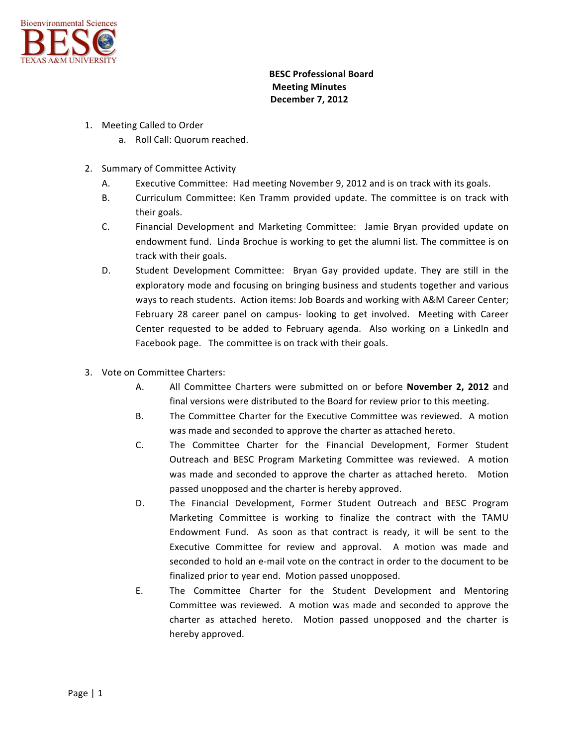

## **BESC Professional Board Meeting Minutes December 7, 2012**

- 1. Meeting Called to Order
	- a. Roll Call: Quorum reached.
- 2. Summary of Committee Activity
	- A. Executive Committee: Had meeting November 9, 2012 and is on track with its goals.
	- B. Curriculum Committee: Ken Tramm provided update. The committee is on track with their goals.
	- C. Financial Development and Marketing Committee: Jamie Bryan provided update on endowment fund. Linda Brochue is working to get the alumni list. The committee is on track with their goals.
	- D. Student Development Committee: Bryan Gay provided update. They are still in the exploratory mode and focusing on bringing business and students together and various ways to reach students. Action items: Job Boards and working with A&M Career Center; February 28 career panel on campus- looking to get involved. Meeting with Career Center requested to be added to February agenda. Also working on a LinkedIn and Facebook page. The committee is on track with their goals.
- 3. Vote on Committee Charters:
	- A. All Committee Charters were submitted on or before **November 2, 2012** and final versions were distributed to the Board for review prior to this meeting.
	- B. The Committee Charter for the Executive Committee was reviewed. A motion was made and seconded to approve the charter as attached hereto.
	- C. The Committee Charter for the Financial Development, Former Student Outreach and BESC Program Marketing Committee was reviewed. A motion was made and seconded to approve the charter as attached hereto. Motion passed unopposed and the charter is hereby approved.
	- D. The Financial Development, Former Student Outreach and BESC Program Marketing Committee is working to finalize the contract with the TAMU Endowment Fund. As soon as that contract is ready, it will be sent to the Executive Committee for review and approval. A motion was made and seconded to hold an e-mail vote on the contract in order to the document to be finalized prior to year end. Motion passed unopposed.
	- E. The Committee Charter for the Student Development and Mentoring Committee was reviewed. A motion was made and seconded to approve the charter as attached hereto. Motion passed unopposed and the charter is hereby approved.